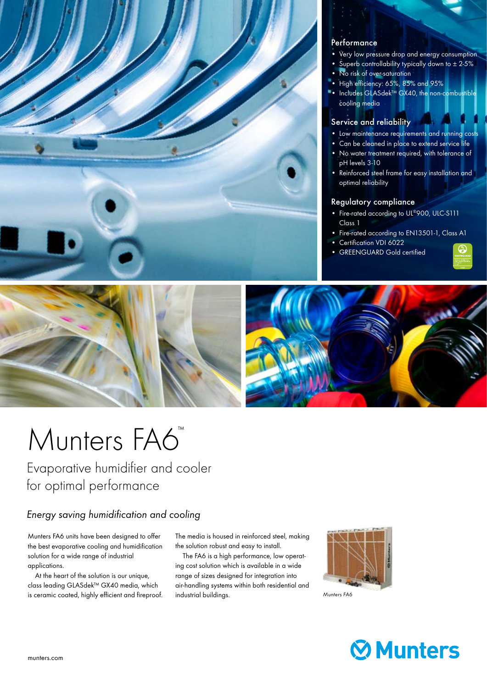

### **Performance**

- Very low pressure drop and energy consumption
	- Superb controllability typically down to ± 2-5%
	- No risk of over-saturation
	- High efficiency: 65%, 85% and 95%
	- Includes GLASdek™ GX40, the non-combustible cooling media

## Service and reliability

- Low maintenance requirements and running costs
- Can be cleaned in place to extend service life
- No water treatment required, with tolerance of pH levels 3-10
- Reinforced steel frame for easy installation and optimal reliability

## Regulatory compliance

- Fire-rated according to UL®900, ULC-S111 Class 1
- Fire-rated according to EN13501-1, Class A1
- Certification VDI 6022
- GREENGUARD Gold certified





# Munters FA6

Evaporative humidifier and cooler for optimal performance

## *Energy saving humidification and cooling*

Munters FA6 units have been designed to offer the best evaporative cooling and humidification solution for a wide range of industrial applications.

 At the heart of the solution is our unique, class leading GLASdek™ GX40 media, which is ceramic coated, highly efficient and fireproof. The media is housed in reinforced steel, making the solution robust and easy to install.

 The FA6 is a high performance, low operating cost solution which is available in a wide range of sizes designed for integration into air-handling systems within both residential and industrial buildings.



*Munters FA6*

## **Ø** Munters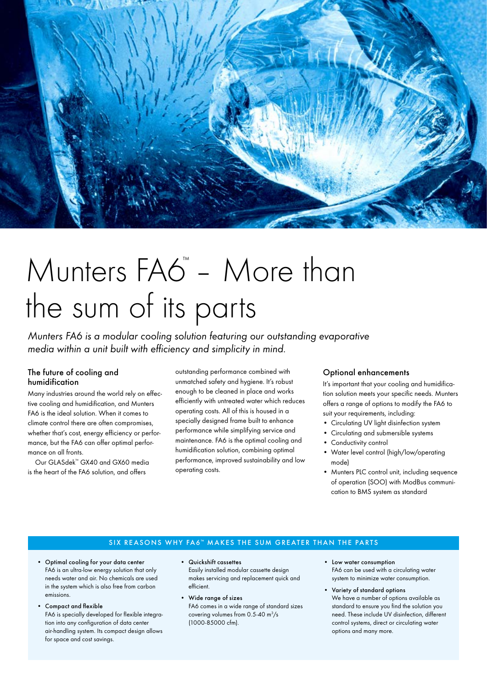

## Munters FA6<sup>"</sup> - More than the sum of its parts

*Munters FA6 is a modular cooling solution featuring our outstanding evaporative media within a unit built with efficiency and simplicity in mind.*

### The future of cooling and humidification

Many industries around the world rely on effective cooling and humidification, and Munters FA6 is the ideal solution. When it comes to climate control there are often compromises, whether that's cost, energy efficiency or performance, but the FA6 can offer optimal performance on all fronts.

 Our GLASdek™ GX40 and GX60 media is the heart of the FA6 solution, and offers

outstanding performance combined with unmatched safety and hygiene. It's robust enough to be cleaned in place and works efficiently with untreated water which reduces operating costs. All of this is housed in a specially designed frame built to enhance performance while simplifying service and maintenance. FA6 is the optimal cooling and humidification solution, combining optimal performance, improved sustainability and low operating costs.

## Optional enhancements

It's important that your cooling and humidification solution meets your specific needs. Munters offers a range of options to modify the FA6 to suit your requirements, including:

- Circulating UV light disinfection system
- Circulating and submersible systems
- Conductivity control
- Water level control (high/low/operating mode)
- Munters PLC control unit, including sequence of operation (SOO) with ModBus communication to BMS system as standard

## SIX REASONS WHY FA6<sup>\*</sup> MAKES THE SUM GREATER THAN THE PARTS

- Optimal cooling for your data center FA6 is an ultra-low energy solution that only needs water and air. No chemicals are used in the system which is also free from carbon emissions.
- Compact and flexible FA6 is specially developed for flexible integra-

tion into any configuration of data center air-handling system. Its compact design allows for space and cost savings.

- Quickshift cassettes Easily installed modular cassette design makes servicing and replacement quick and efficient.
- Wide range of sizes FA6 comes in a wide range of standard sizes covering volumes from  $0.5 - 40$  m $\frac{3}{s}$ (1000-85000 cfm).
- Low water consumption FA6 can be used with a circulating water system to minimize water consumption.
- Variety of standard options We have a number of options available as standard to ensure you find the solution you need. These include UV disinfection, different control systems, direct or circulating water options and many more.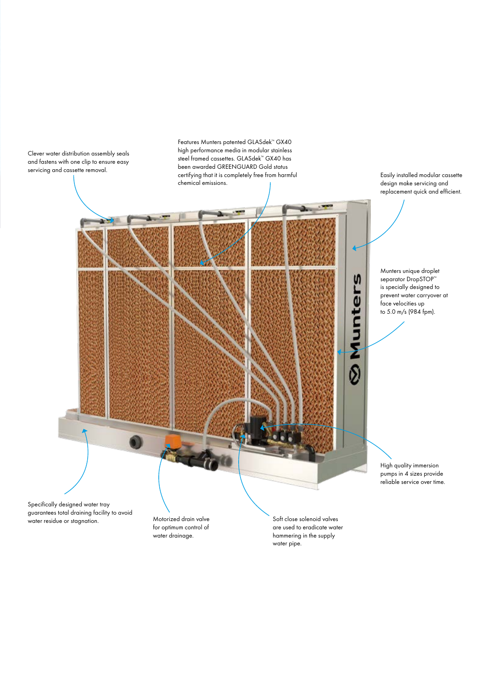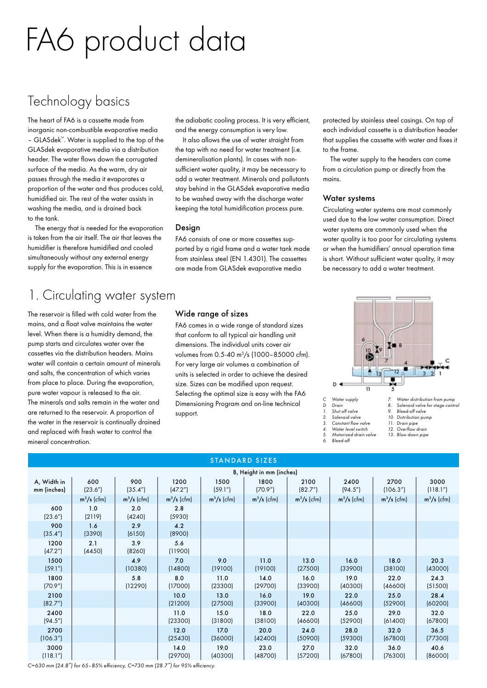# FA6 product data

## Technology basics

The heart of FA6 is a cassette made from inorganic non-combustible evaporative media – GLASdek™. Water is supplied to the top of the GLASdek evaporative media via a distribution header. The water flows down the corrugated surface of the media. As the warm, dry air passes through the media it evaporates a proportion of the water and thus produces cold, humidified air. The rest of the water assists in washing the media, and is drained back to the tank.

 The energy that is needed for the evaporation is taken from the air itself. The air that leaves the humidifier is therefore humidified and cooled simultaneously without any external energy supply for the evaporation. This is in essence

the adiabatic cooling process. It is very efficient, and the energy consumption is very low.

 It also allows the use of water straight from the tap with no need for water treatment (i.e. demineralisation plants). In cases with nonsufficient water quality, it may be necessary to add a water treatment. Minerals and pollutants stay behind in the GLASdek evaporative media to be washed away with the discharge water keeping the total humidification process pure.

## Design

FA6 consists of one or more cassettes supported by a rigid frame and a water tank made from stainless steel (EN 1.4301). The cassettes are made from GLASdek evaporative media

protected by stainless steel casings. On top of each individual cassette is a distribution header that supplies the cassette with water and fixes it to the frame.

 The water supply to the headers can come from a circulation pump or directly from the mains.

### Water systems

Circulating water systems are most commonly used due to the low water consumption. Direct water systems are commonly used when the water quality is too poor for circulating systems or when the humidifiers' annual operation time is short. Without sufficient water quality, it may be necessary to add a water treatment.

## 1. Circulating water system

The reservoir is filled with cold water from the mains, and a float valve maintains the water level. When there is a humidity demand, the pump starts and circulates water over the cassettes via the distribution headers. Mains water will contain a certain amount of minerals and salts, the concentration of which varies from place to place. During the evaporation, pure water vapour is released to the air. The minerals and salts remain in the water and are returned to the reservoir. A proportion of the water in the reservoir is continually drained and replaced with fresh water to control the mineral concentration.

## Wide range of sizes

FA6 comes in a wide range of standard sizes that conform to all typical air handling unit dimensions. The individual units cover air volumes from 0.5-40 m3 /s (1000–85000 cfm). For very large air volumes a combination of units is selected in order to achieve the desired size. Sizes can be modified upon request. Selecting the optimal size is easy with the FA6 Dimensioning Program and on-line technical support.



*5. Motorized drain valve 6. Bleed-off*

- *12. Overflow drain 13. Blow down pipe*
- 
- 

| <b>STANDARD SIZES</b>          |                |                 |                               |                 |                 |                 |                 |                  |                                |
|--------------------------------|----------------|-----------------|-------------------------------|-----------------|-----------------|-----------------|-----------------|------------------|--------------------------------|
| B, Height in mm (inches)       |                |                 |                               |                 |                 |                 |                 |                  |                                |
| A, Width in<br>mm (inches)     | 600<br>(23.6") | 900<br>(35.4'') | 1200<br>(47.2 <sup>''</sup> ) | 1500<br>(59.1") | 1800<br>(70.9") | 2100<br>(82.7") | 2400<br>(94.5") | 2700<br>(106.3") | 3000<br>(118.1 <sup>''</sup> ) |
|                                | $m^3/s$ (cfm)  | $m^3/s$ (cfm)   | $m^3/s$ (cfm)                 | $m^3/s$ (cfm)   | $m^3/s$ (cfm)   | $m^3/s$ (cfm)   | $m^3/s$ (cfm)   | $m^3/s$ (cfm)    | $m^3/s$ (cfm)                  |
| 600<br>(23.6")                 | 1.0<br>(2119)  | 2.0<br>(4240)   | 2.8<br>(5930)                 |                 |                 |                 |                 |                  |                                |
| 900<br>(35.4 <sup>''</sup> )   | 1.6<br>(3390)  | 2.9<br>(6150)   | 4.2<br>(8900)                 |                 |                 |                 |                 |                  |                                |
| 1200<br>(47.2")                | 2.1<br>(4450)  | 3.9<br>(8260)   | 5.6<br>(11900)                |                 |                 |                 |                 |                  |                                |
| 1500<br>(59.1")                |                | 4.9<br>(10380)  | 7.0<br>(14800)                | 9.0<br>(19100)  | 11.0<br>(19100) | 13.0<br>(27500) | 16.0<br>(33900) | 18.0<br>(38100)  | 20.3<br>(43000)                |
| 1800<br>(70.9")                |                | 5.8<br>(12290)  | 8.0<br>(17000)                | 11.0<br>(23300) | 14.0<br>(29700) | 16.0<br>(33900) | 19.0<br>(40300) | 22.0<br>(46600)  | 24.3<br>(51500)                |
| 2100<br>(82.7")                |                |                 | 10.0<br>(21200)               | 13.0<br>(27500) | 16.0<br>(33900) | 19.0<br>(40300) | 22.0<br>(46600) | 25.0<br>(52900)  | 28.4<br>(60200)                |
| 2400<br>(94.5")                |                |                 | 11.0<br>(23300)               | 15.0<br>(31800) | 18.0<br>(38100) | 22.0<br>(46600) | 25.0<br>(52900) | 29.0<br>(61400)  | 32.0<br>(67800)                |
| 2700<br>(106.3")               |                |                 | 12.0<br>(25430)               | 17.0<br>(36000) | 20.0<br>(42400) | 24.0<br>(50900) | 28.0<br>(59300) | 32.0<br>(67800)  | 36.5<br>(77300)                |
| 3000<br>(118.1 <sup>''</sup> ) |                |                 | 14.0<br>(29700)               | 19.0<br>(40300) | 23.0<br>(48700) | 27.0<br>(57200) | 32.0<br>(67800) | 36.0<br>(76300)  | 40.6<br>(86000)                |

*C=630 mm (24.8") for 65–85% efficiency, C=730 mm (28.7") for 95% efficiency.*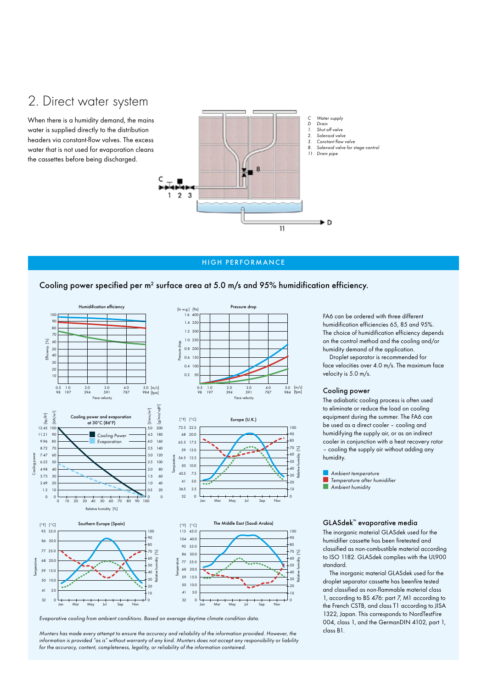## 2. Direct water system

When there is a humidity demand, the mains water is supplied directly to the distribution headers via constant-flow valves. The excess water that is not used for evaporation cleans the cassettes before being discharged.



#### HIGH PERFORMANCE

#### Cooling power specified per  $m^2$  surface area at 5.0 m/s and 95% humidification efficiency.



*Evaporative cooling from ambient conditions. Based on average daytime climate condition data.*

*Munters has made every attempt to ensure the accuracy and reliability of the information provided. However, the information is provided "as is" without warranty of any kind. Munters does not accept any responsibility or liability for the accuracy, content, completeness, legality, or reliability of the information contained.*

FA6 can be ordered with three different humidification efficiencies 65, 85 and 95%. The choice of humidification efficiency depends on the control method and the cooling and/or humidity demand of the application.

 Droplet separator is recommended for face velocities over 4.0 m/s. The maximum face velocity is 5.0 m/s.

#### Cooling power

The adiabatic cooling process is often used to eliminate or reduce the load on cooling equipment during the summer. The FA6 can be used as a direct cooler – cooling and humidifying the supply air, or as an indirect cooler in conjunction with a heat recovery rotor – cooling the supply air without adding any humidity.

 *Ambient temperature Temperature after humidifier Ambient humidity*

#### GLASdek™ evaporative media

The inorganic material GLASdek used for the humidifier cassette has been firetested and classified as non-combustible material according to ISO 1182. GLASdek complies with the UL900 standard.

 The inorganic material GLASdek used for the droplet separator cassette has beenfire tested and classified as non-flammable material class 1, according to BS 476: part 7, M1 according to the French CSTB, and class T1 according to JISA 1322, Japan. This corresponds to NordTestFire 004, class 1, and the GermanDIN 4102, part 1, class B1.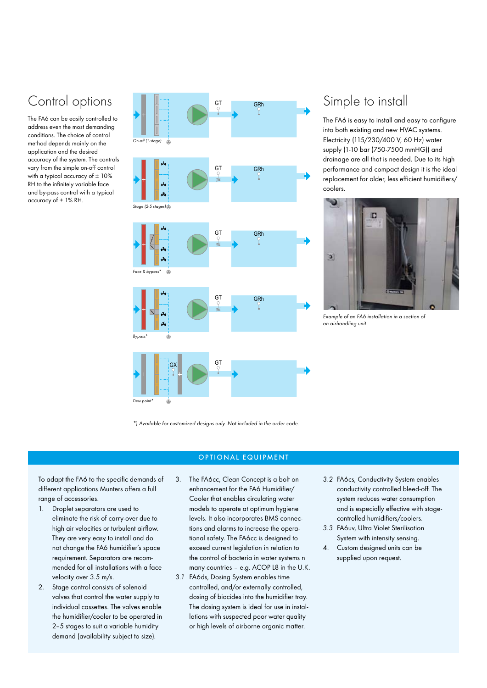## Control options

The FA6 can be easily controlled to address even the most demanding conditions. The choice of control method depends mainly on the application and the desired accuracy of the system. The controls vary from the simple on-off control with a typical accuracy of  $\pm$  10% RH to the infinitely variable face and by-pass control with a typical accuracy of ± 1% RH.



## Simple to install

The FA6 is easy to install and easy to configure into both existing and new HVAC systems. Electricity (115/230/400 V, 60 Hz) water supply (1-10 bar (750-7500 mmHG)) and drainage are all that is needed. Due to its high performance and compact design it is the ideal replacement for older, less efficient humidifiers/ coolers.



*Example of an FA6 installation in a section of an airhandling unit*

*\*) Available for customized designs only. Not included in the order code.*

#### OPTIONAL EQUIPMENT

To adapt the FA6 to the specific demands of different applications Munters offers a full range of accessories.

- 1. Droplet separators are used to eliminate the risk of carry-over due to high air velocities or turbulent airflow. They are very easy to install and do not change the FA6 humidifier's space requirement. Separators are recommended for all installations with a face velocity over 3.5 m/s.
- 2. Stage control consists of solenoid valves that control the water supply to individual cassettes. The valves enable the humidifier/cooler to be operated in 2–5 stages to suit a variable humidity demand (availability subject to size).
- 3. The FA6cc, Clean Concept is a bolt on enhancement for the FA6 Humidifier/ Cooler that enables circulating water models to operate at optimum hygiene levels. It also incorporates BMS connections and alarms to increase the operational safety. The FA6cc is designed to exceed current legislation in relation to the control of bacteria in water systems n many countries – e.g. ACOP L8 in the U.K.
- *3.1* FA6ds, Dosing System enables time controlled, and/or externally controlled, dosing of biocides into the humidifier tray. The dosing system is ideal for use in installations with suspected poor water quality or high levels of airborne organic matter.
- *3.2* FA6cs, Conductivity System enables conductivity controlled bleed-off. The system reduces water consumption and is especially effective with stagecontrolled humidifiers/coolers.
- *3.3* FA6uv, Ultra Violet Sterilisation System with intensity sensing.
- 4. Custom designed units can be supplied upon request.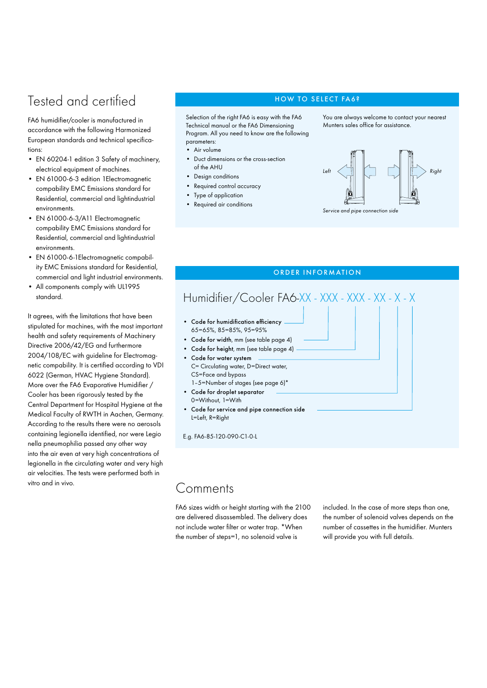## Tested and certified Tested and certified

FA6 humidifier/cooler is manufactured in accordance with the following Harmonized European standards and technical specifications:

- EN 60204-1 edition 3 Safety of machinery, electrical equipment of machines.
- EN 61000-6-3 edition 1Electromagnetic compability EMC Emissions standard for Residential, commercial and lightindustrial environments.
- EN 61000-6-3/A11 Electromagnetic compability EMC Emissions standard for Residential, commercial and lightindustrial environments.
- EN 61000-6-1Electromagnetic compability EMC Emissions standard for Residential, commercial and light industrial environments.
- All components comply with UL1995 standard.

It agrees, with the limitations that have been stipulated for machines, with the most important health and safety requirements of Machinery Directive 2006/42/EG and furthermore 2004/108/EC with guideline for Electromagnetic compability. It is certified according to VDI 6022 (German, HVAC Hygiene Standard). More over the FA6 Evaporative Humidifier / Cooler has been rigorously tested by the Central Department for Hospital Hygiene at the Medical Faculty of RWTH in Aachen, Germany. According to the results there were no aerosols containing legionella identified, nor were Legio nella pneumophilia passed any other way into the air even at very high concentrations of legionella in the circulating water and very high air velocities. The tests were performed both in vitro and in vivo.<br>
Comments

Selection of the right FA6 is easy with the FA6 Technical manual or the FA6 Dimensioning Program. All you need to know are the following parameters:

- Air volume
- Duct dimensions or the cross-section of the AHU
- Design conditions
- Required control accuracy
- Type of application
- Required air conditions

You are always welcome to contact your nearest Munters sales office for assistance.





### ORDER INFORMATION

## Humidifier/Cooler FA6-XX - XXX - XXX - XX - X - X

- Code for humidification efficiency 65=65%, 85=85%, 95=95%
- Code for width, mm (see table page 4)
- Code for height, mm (see table page 4)
- Code for water system C= Circulating water, D=Direct water, CS=Face and bypass 1–5=Number of stages (see page 6)\*
- Code for droplet separator 0=Without, 1=With
- Code for service and pipe connection side L=Left, R=Right

E.g. FA6-85-120-090-C1-0-L

FA6 sizes width or height starting with the 2100 are delivered disassembled. The delivery does not include water filter or water trap. \*When the number of steps=1, no solenoid valve is

included. In the case of more steps than one, the number of solenoid valves depends on the number of cassettes in the humidifier. Munters will provide you with full details.